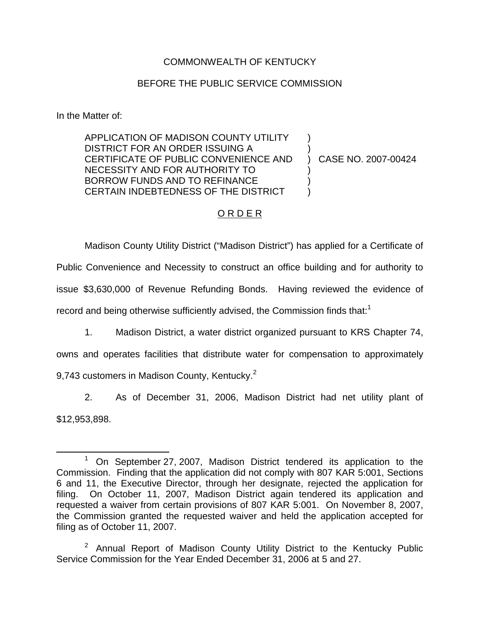## COMMONWEALTH OF KENTUCKY

## BEFORE THE PUBLIC SERVICE COMMISSION

In the Matter of:

APPLICATION OF MADISON COUNTY UTILITY DISTRICT FOR AN ORDER ISSUING A CERTIFICATE OF PUBLIC CONVENIENCE AND NECESSITY AND FOR AUTHORITY TO BORROW FUNDS AND TO REFINANCE CERTAIN INDEBTEDNESS OF THE DISTRICT ) ) ) CASE NO. 2007-00424 ) ) )

## O R D E R

Madison County Utility District ("Madison District") has applied for a Certificate of Public Convenience and Necessity to construct an office building and for authority to issue \$3,630,000 of Revenue Refunding Bonds. Having reviewed the evidence of record and being otherwise sufficiently advised, the Commission finds that:<sup>1</sup>

1. Madison District, a water district organized pursuant to KRS Chapter 74,

owns and operates facilities that distribute water for compensation to approximately 9,743 customers in Madison County, Kentucky.<sup>2</sup>

2. As of December 31, 2006, Madison District had net utility plant of \$12,953,898.

 $1$  On September 27, 2007, Madison District tendered its application to the Commission. Finding that the application did not comply with 807 KAR 5:001, Sections 6 and 11, the Executive Director, through her designate, rejected the application for filing. On October 11, 2007, Madison District again tendered its application and requested a waiver from certain provisions of 807 KAR 5:001. On November 8, 2007, the Commission granted the requested waiver and held the application accepted for filing as of October 11, 2007.

 $2$  Annual Report of Madison County Utility District to the Kentucky Public Service Commission for the Year Ended December 31, 2006 at 5 and 27.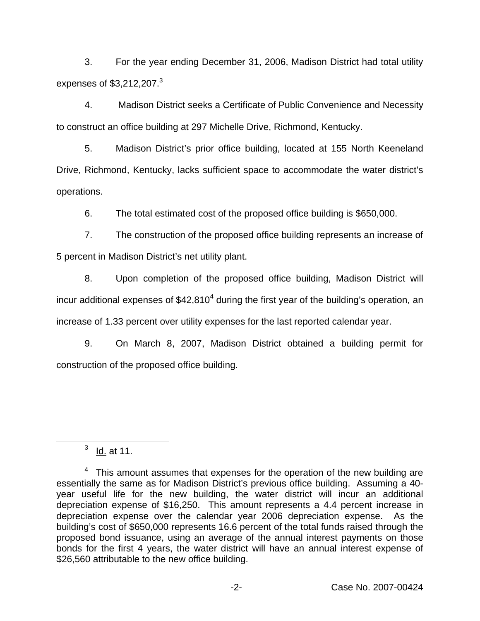3. For the year ending December 31, 2006, Madison District had total utility expenses of  $$3,212,207.<sup>3</sup>$ 

4. Madison District seeks a Certificate of Public Convenience and Necessity to construct an office building at 297 Michelle Drive, Richmond, Kentucky.

5. Madison District's prior office building, located at 155 North Keeneland Drive, Richmond, Kentucky, lacks sufficient space to accommodate the water district's operations.

6. The total estimated cost of the proposed office building is \$650,000.

7. The construction of the proposed office building represents an increase of 5 percent in Madison District's net utility plant.

8. Upon completion of the proposed office building, Madison District will incur additional expenses of  $$42,810<sup>4</sup>$  during the first year of the building's operation, an increase of 1.33 percent over utility expenses for the last reported calendar year.

9. On March 8, 2007, Madison District obtained a building permit for construction of the proposed office building.

 $3 \underline{Id}$  at 11.

 $4$  This amount assumes that expenses for the operation of the new building are essentially the same as for Madison District's previous office building. Assuming a 40 year useful life for the new building, the water district will incur an additional depreciation expense of \$16,250. This amount represents a 4.4 percent increase in depreciation expense over the calendar year 2006 depreciation expense. As the building's cost of \$650,000 represents 16.6 percent of the total funds raised through the proposed bond issuance, using an average of the annual interest payments on those bonds for the first 4 years, the water district will have an annual interest expense of \$26,560 attributable to the new office building.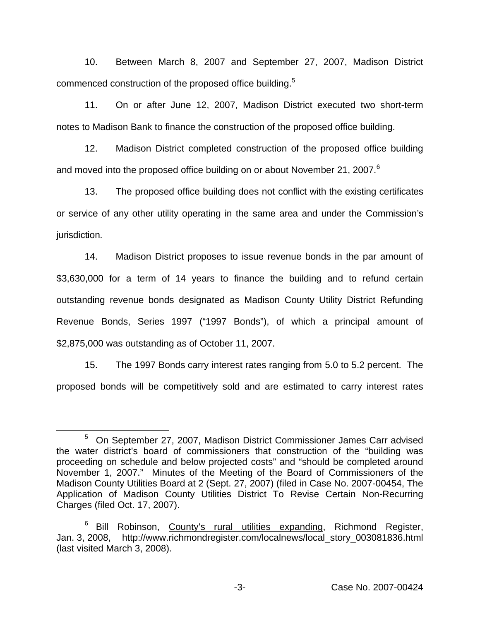10. Between March 8, 2007 and September 27, 2007, Madison District commenced construction of the proposed office building.<sup>5</sup>

11. On or after June 12, 2007, Madison District executed two short-term notes to Madison Bank to finance the construction of the proposed office building.

12. Madison District completed construction of the proposed office building and moved into the proposed office building on or about November 21, 2007.<sup>6</sup>

13. The proposed office building does not conflict with the existing certificates or service of any other utility operating in the same area and under the Commission's jurisdiction.

14. Madison District proposes to issue revenue bonds in the par amount of \$3,630,000 for a term of 14 years to finance the building and to refund certain outstanding revenue bonds designated as Madison County Utility District Refunding Revenue Bonds, Series 1997 ("1997 Bonds"), of which a principal amount of \$2,875,000 was outstanding as of October 11, 2007.

15. The 1997 Bonds carry interest rates ranging from 5.0 to 5.2 percent. The proposed bonds will be competitively sold and are estimated to carry interest rates

<sup>5</sup> On September 27, 2007, Madison District Commissioner James Carr advised the water district's board of commissioners that construction of the "building was proceeding on schedule and below projected costs" and "should be completed around November 1, 2007." Minutes of the Meeting of the Board of Commissioners of the Madison County Utilities Board at 2 (Sept. 27, 2007) (filed in Case No. 2007-00454, The Application of Madison County Utilities District To Revise Certain Non-Recurring Charges (filed Oct. 17, 2007).

<sup>&</sup>lt;sup>6</sup> Bill Robinson, County's rural utilities expanding, Richmond Register, Jan. 3, 2008, http://www.richmondregister.com/localnews/local\_story\_003081836.html (last visited March 3, 2008).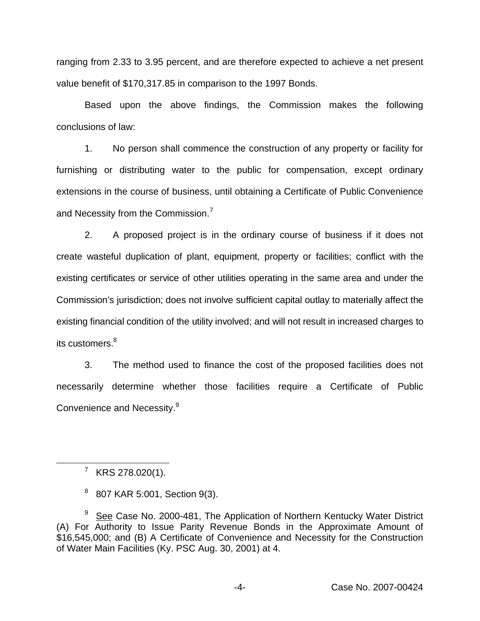ranging from 2.33 to 3.95 percent, and are therefore expected to achieve a net present value benefit of \$170,317.85 in comparison to the 1997 Bonds.

Based upon the above findings, the Commission makes the following conclusions of law:

1. No person shall commence the construction of any property or facility for furnishing or distributing water to the public for compensation, except ordinary extensions in the course of business, until obtaining a Certificate of Public Convenience and Necessity from the Commission.<sup>7</sup>

2. A proposed project is in the ordinary course of business if it does not create wasteful duplication of plant, equipment, property or facilities; conflict with the existing certificates or service of other utilities operating in the same area and under the Commission's jurisdiction; does not involve sufficient capital outlay to materially affect the existing financial condition of the utility involved; and will not result in increased charges to its customers.<sup>8</sup>

3. The method used to finance the cost of the proposed facilities does not necessarily determine whether those facilities require a Certificate of Public Convenience and Necessity.<sup>9</sup>

 $7$  KRS 278.020(1).

 $8\,$  807 KAR 5:001, Section 9(3).

 $9$  See Case No. 2000-481, The Application of Northern Kentucky Water District (A) For Authority to Issue Parity Revenue Bonds in the Approximate Amount of \$16,545,000; and (B) A Certificate of Convenience and Necessity for the Construction of Water Main Facilities (Ky. PSC Aug. 30, 2001) at 4.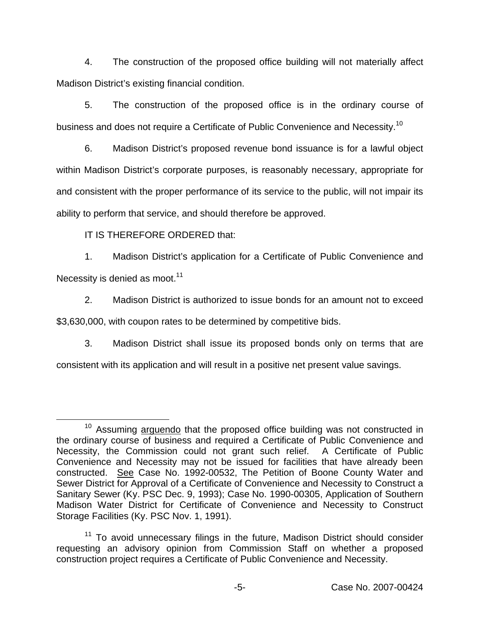4. The construction of the proposed office building will not materially affect Madison District's existing financial condition.

5. The construction of the proposed office is in the ordinary course of business and does not require a Certificate of Public Convenience and Necessity.<sup>10</sup>

6. Madison District's proposed revenue bond issuance is for a lawful object within Madison District's corporate purposes, is reasonably necessary, appropriate for and consistent with the proper performance of its service to the public, will not impair its ability to perform that service, and should therefore be approved.

IT IS THEREFORE ORDERED that:

1. Madison District's application for a Certificate of Public Convenience and Necessity is denied as moot.<sup>11</sup>

2. Madison District is authorized to issue bonds for an amount not to exceed \$3,630,000, with coupon rates to be determined by competitive bids.

3. Madison District shall issue its proposed bonds only on terms that are consistent with its application and will result in a positive net present value savings.

<sup>&</sup>lt;sup>10</sup> Assuming arguendo that the proposed office building was not constructed in the ordinary course of business and required a Certificate of Public Convenience and Necessity, the Commission could not grant such relief. A Certificate of Public Convenience and Necessity may not be issued for facilities that have already been constructed. See Case No. 1992-00532, The Petition of Boone County Water and Sewer District for Approval of a Certificate of Convenience and Necessity to Construct a Sanitary Sewer (Ky. PSC Dec. 9, 1993); Case No. 1990-00305, Application of Southern Madison Water District for Certificate of Convenience and Necessity to Construct Storage Facilities (Ky. PSC Nov. 1, 1991).

 $11$  To avoid unnecessary filings in the future, Madison District should consider requesting an advisory opinion from Commission Staff on whether a proposed construction project requires a Certificate of Public Convenience and Necessity.